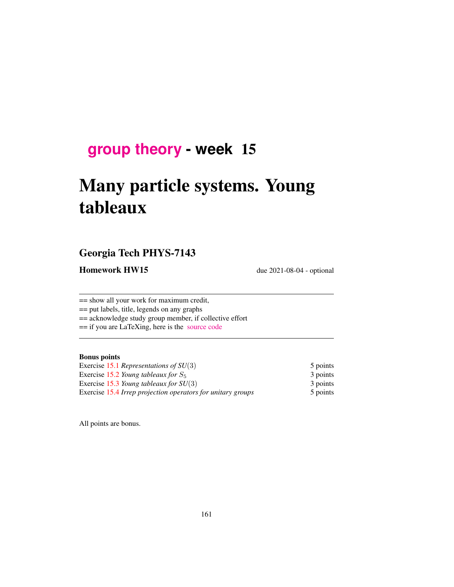# **[group theory](http://birdtracks.eu/course3/schedule.html) - week** 15

# Many particle systems. Young tableaux

### Georgia Tech PHYS-7143

Homework HW15 due 2021-08-04 - optional

== show all your work for maximum credit,

== put labels, title, legends on any graphs

== acknowledge study group member, if collective effort

== if you are LaTeXing, here is the [source code](http://birdtracks.eu/course3/exerWeek15.tex)

#### Bonus points

| Exercise 15.1 Representations of $SU(3)$<br>Exercise 15.2 Young tableaux for $S_5$<br>Exercise 15.3 Young tableaux for $SU(3)$<br>Exercise 15.4 Irrep projection operators for unitary groups | 5 points<br>3 points<br>3 points<br>5 points |
|-----------------------------------------------------------------------------------------------------------------------------------------------------------------------------------------------|----------------------------------------------|
|-----------------------------------------------------------------------------------------------------------------------------------------------------------------------------------------------|----------------------------------------------|

All points are bonus.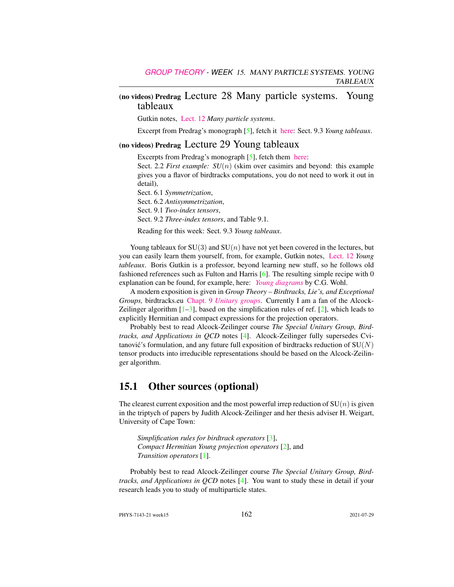#### (no videos) Predrag Lecture 28 Many particle systems. Young tableaux

Gutkin notes, [Lect. 12](http://birdtracks.eu/course3/groups.pdf#chapter.12) *Many particle systems*.

Excerpt from Predrag's monograph [\[5\]](#page-2-2), fetch it [here:](http://birdtracks.eu/course3/week11lect22.pdf) Sect. 9.3 *Young tableaux*.

#### (no videos) Predrag Lecture 29 Young tableaux

Excerpts from Predrag's monograph [\[5\]](#page-2-2), fetch them [here:](http://birdtracks.eu/course3/week11lect22.pdf)

Sect. 2.2 *First example:*  $SU(n)$  (skim over casimirs and beyond: this example gives you a flavor of birdtracks computations, you do not need to work it out in detail),

Sect. 6.1 *Symmetrization*, Sect. 6.2 *Antisymmetrization*, Sect. 9.1 *Two-index tensors*, Sect. 9.2 *Three-index tensors*, and Table 9.1.

Reading for this week: Sect. 9.3 *Young tableaux*.

Young tableaux for  $SU(3)$  and  $SU(n)$  have not yet been covered in the lectures, but you can easily learn them yourself, from, for example, Gutkin notes, [Lect. 12](http://birdtracks.eu/course3/groups.pdf#chapter.12) *Young tableaux*. Boris Gutkin is a professor, beyond learning new stuff, so he follows old fashioned references such as Fulton and Harris [\[6\]](#page-2-3). The resulting simple recipe with 0 explanation can be found, for example, here: *[Young diagrams](http://pdg.lbl.gov/2010/reviews/rpp2010-rev-young-diagrams.pdf)* by C.G. Wohl.

A modern exposition is given in *Group Theory – Birdtracks, Lie's, and Exceptional Groups,* birdtracks.eu Chapt. 9 *[Unitary groups](http://birdtracks.eu/version9.0/GroupTheory.pdf#section.9.1)*. Currently I am a fan of the Alcock-Zeilinger algorithm  $[1-3]$  $[1-3]$ , based on the simplification rules of ref.  $[2]$ , which leads to explicitly Hermitian and compact expressions for the projection operators.

Probably best to read Alcock-Zeilinger course *The Special Unitary Group, Birdtracks, and Applications in QCD* notes [\[4\]](#page-2-7). Alcock-Zeilinger fully supersedes Cvitanović's formulation, and any future full exposition of birdtracks reduction of  $SU(N)$ tensor products into irreducible representations should be based on the Alcock-Zeilinger algorithm.

#### 15.1 Other sources (optional)

The clearest current exposition and the most powerful irrep reduction of  $SU(n)$  is given in the triptych of papers by Judith Alcock-Zeilinger and her thesis adviser H. Weigart, University of Cape Town:

*Simplification rules for birdtrack operators* [\[3\]](#page-2-5), *Compact Hermitian Young projection operators* [\[2\]](#page-2-6), and *Transition operators* [\[1\]](#page-2-4).

Probably best to read Alcock-Zeilinger course *The Special Unitary Group, Birdtracks, and Applications in QCD* notes [\[4\]](#page-2-7). You want to study these in detail if your research leads you to study of multiparticle states.

PHYS-7143-21 week15 162 2021-07-29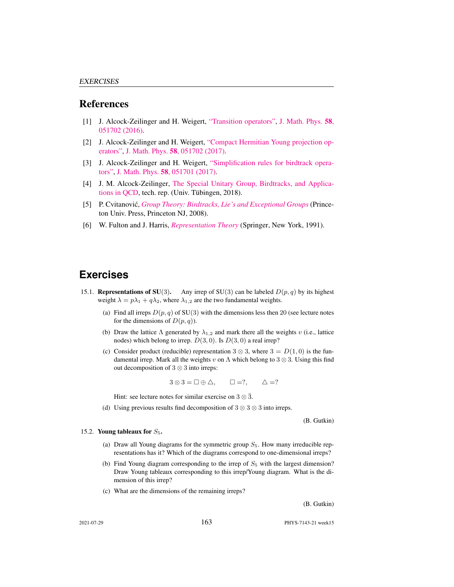#### References

- <span id="page-2-4"></span>[1] J. Alcock-Zeilinger and H. Weigert, ["Transition operators",](http://dx.doi.org/10.1063/1.4983478) [J. Math. Phys.](https://doi.org/10.1063/1.4983478) 58, [051702 \(2016\).](https://doi.org/10.1063/1.4983478)
- <span id="page-2-6"></span>[2] J. Alcock-Zeilinger and H. Weigert, ["Compact Hermitian Young projection op](http://dx.doi.org/10.1063/1.4983478)[erators",](http://dx.doi.org/10.1063/1.4983478) J. Math. Phys. 58[, 051702 \(2017\).](https://doi.org/10.1063/1.4983478)
- <span id="page-2-5"></span>[3] J. Alcock-Zeilinger and H. Weigert, ["Simplification rules for birdtrack opera](http://dx.doi.org/10.1063/1.4983477)[tors",](http://dx.doi.org/10.1063/1.4983477) J. Math. Phys. 58[, 051701 \(2017\).](https://doi.org/10.1063/1.4983477)
- <span id="page-2-7"></span>[4] J. M. Alcock-Zeilinger, [The Special Unitary Group, Birdtracks, and Applica](https://www.math.uni-tuebingen.de/de/forschung/maphy/lehre/ss-2018/sun/dateien/birdtracks-sun-qcd-lecturenotes.pdf)[tions in QCD,](https://www.math.uni-tuebingen.de/de/forschung/maphy/lehre/ss-2018/sun/dateien/birdtracks-sun-qcd-lecturenotes.pdf) tech. rep. (Univ. Tübingen, 2018).
- <span id="page-2-2"></span>[5] P. Cvitanović, *[Group Theory: Birdtracks, Lie's and Exceptional Groups](http://dx.doi.org/10.1515/9781400837670)* (Princeton Univ. Press, Princeton NJ, 2008).
- <span id="page-2-3"></span>[6] W. Fulton and J. Harris, *[Representation Theory](http://dx.doi.org/10.1007/978-1-4612-0979-9)* (Springer, New York, 1991).

## **Exercises**

- <span id="page-2-0"></span>15.1. Representations of SU(3). Any irrep of SU(3) can be labeled  $D(p, q)$  by its highest weight  $\lambda = p\lambda_1 + q\lambda_2$ , where  $\lambda_{1,2}$  are the two fundamental weights.
	- (a) Find all irreps  $D(p, q)$  of SU(3) with the dimensions less then 20 (see lecture notes for the dimensions of  $D(p, q)$ ).
	- (b) Draw the lattice  $\Lambda$  generated by  $\lambda_{1,2}$  and mark there all the weights v (i.e., lattice nodes) which belong to irrep.  $D(3, 0)$ . Is  $D(3, 0)$  a real irrep?
	- (c) Consider product (reducible) representation 3  $\otimes$  3, where 3 =  $D(1,0)$  is the fundamental irrep. Mark all the weights v on  $\Lambda$  which belong to 3  $\otimes$  3. Using this find out decomposition of 3 ⊗ 3 into irreps:

$$
3 \otimes 3 = \Box \oplus \triangle, \qquad \Box =?, \qquad \triangle =?
$$

Hint: see lecture notes for similar exercise on  $3 \otimes \overline{3}$ .

(d) Using previous results find decomposition of  $3 \otimes 3 \otimes 3$  into irreps.

(B. Gutkin)

#### <span id="page-2-1"></span>15.2. Young tableaux for  $S_5$ .

- (a) Draw all Young diagrams for the symmetric group  $S_5$ . How many irreducible representations has it? Which of the diagrams correspond to one-dimensional irreps?
- (b) Find Young diagram corresponding to the irrep of  $S_5$  with the largest dimension? Draw Young tableaux corresponding to this irrep/Young diagram. What is the dimension of this irrep?
- (c) What are the dimensions of the remaining irreps?

(B. Gutkin)

2021-07-29 163 PHYS-7143-21 week15